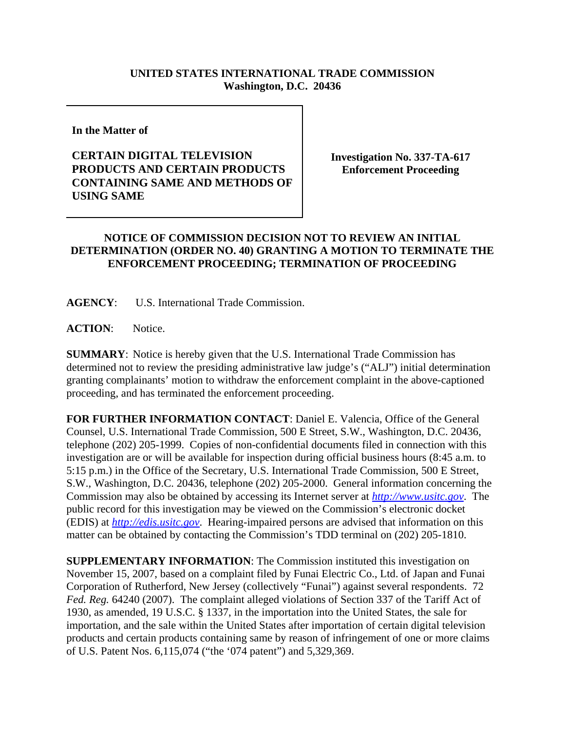## **UNITED STATES INTERNATIONAL TRADE COMMISSION Washington, D.C. 20436**

**In the Matter of** 

## **CERTAIN DIGITAL TELEVISION PRODUCTS AND CERTAIN PRODUCTS CONTAINING SAME AND METHODS OF USING SAME**

**Investigation No. 337-TA-617 Enforcement Proceeding**

## **NOTICE OF COMMISSION DECISION NOT TO REVIEW AN INITIAL DETERMINATION (ORDER NO. 40) GRANTING A MOTION TO TERMINATE THE ENFORCEMENT PROCEEDING; TERMINATION OF PROCEEDING**

**AGENCY**: U.S. International Trade Commission.

**ACTION**: Notice.

**SUMMARY**: Notice is hereby given that the U.S. International Trade Commission has determined not to review the presiding administrative law judge's ("ALJ") initial determination granting complainants' motion to withdraw the enforcement complaint in the above-captioned proceeding, and has terminated the enforcement proceeding.

**FOR FURTHER INFORMATION CONTACT**: Daniel E. Valencia, Office of the General Counsel, U.S. International Trade Commission, 500 E Street, S.W., Washington, D.C. 20436, telephone (202) 205-1999. Copies of non-confidential documents filed in connection with this investigation are or will be available for inspection during official business hours (8:45 a.m. to 5:15 p.m.) in the Office of the Secretary, U.S. International Trade Commission, 500 E Street, S.W., Washington, D.C. 20436, telephone (202) 205-2000. General information concerning the Commission may also be obtained by accessing its Internet server at *http://www.usitc.gov*. The public record for this investigation may be viewed on the Commission's electronic docket (EDIS) at *http://edis.usitc.gov*. Hearing-impaired persons are advised that information on this matter can be obtained by contacting the Commission's TDD terminal on (202) 205-1810.

**SUPPLEMENTARY INFORMATION**: The Commission instituted this investigation on November 15, 2007, based on a complaint filed by Funai Electric Co., Ltd. of Japan and Funai Corporation of Rutherford, New Jersey (collectively "Funai") against several respondents. 72 *Fed. Reg.* 64240 (2007). The complaint alleged violations of Section 337 of the Tariff Act of 1930, as amended, 19 U.S.C. § 1337, in the importation into the United States, the sale for importation, and the sale within the United States after importation of certain digital television products and certain products containing same by reason of infringement of one or more claims of U.S. Patent Nos. 6,115,074 ("the '074 patent") and 5,329,369.